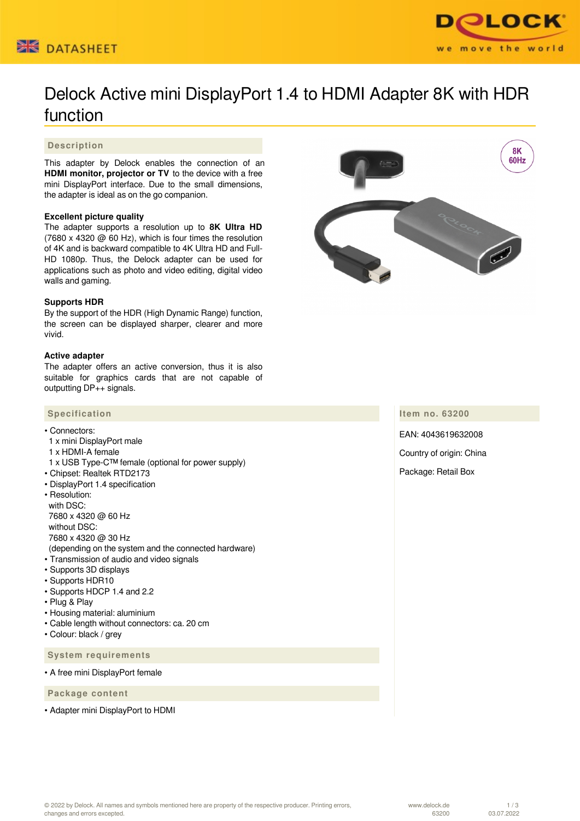



# Delock Active mini DisplayPort 1.4 to HDMI Adapter 8K with HDR function

#### **Description**

This adapter by Delock enables the connection of an **HDMI monitor, projector or TV** to the device with a free mini DisplayPort interface. Due to the small dimensions, the adapter is ideal as on the go companion.

#### **Excellent picture quality**

The adapter supports a resolution up to **8K Ultra HD** (7680 x 4320 @ 60 Hz), which is four times the resolution of 4K and is backward compatible to 4K Ultra HD and Full-HD 1080p. Thus, the Delock adapter can be used for applications such as photo and video editing, digital video walls and gaming.

#### **Supports HDR**

By the support of the HDR (High Dynamic Range) function, the screen can be displayed sharper, clearer and more vivid.

#### **Active adapter**

The adapter offers an active conversion, thus it is also suitable for graphics cards that are not capable of outputting DP++ signals.

#### **Specification**

- Connectors:
- 1 x mini DisplayPort male
- 1 x HDMI-A female
- 1 x USB Type-C™ female (optional for power supply)
- Chipset: Realtek RTD2173
- DisplayPort 1.4 specification
- Resolution: with DSC: 7680 x 4320 @ 60 Hz without DSC: 7680 x 4320 @ 30 Hz (depending on the system and the connected hardware) • Transmission of audio and video signals
- Supports 3D displays
- Supports HDR10
- Supports HDCP 1.4 and 2.2
- Plug & Play
- Housing material: aluminium
- Cable length without connectors: ca. 20 cm
- Colour: black / grey

 **System requirements**

• A free mini DisplayPort female

 **Package content**

• Adapter mini DisplayPort to HDMI



### **Item no. 63200**

EAN: 4043619632008 Country of origin: China Package: Retail Box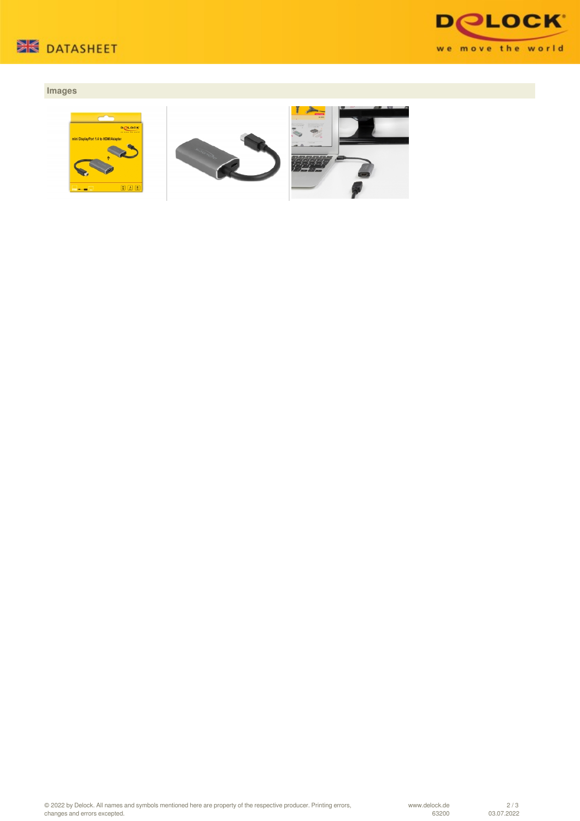



## **Images**